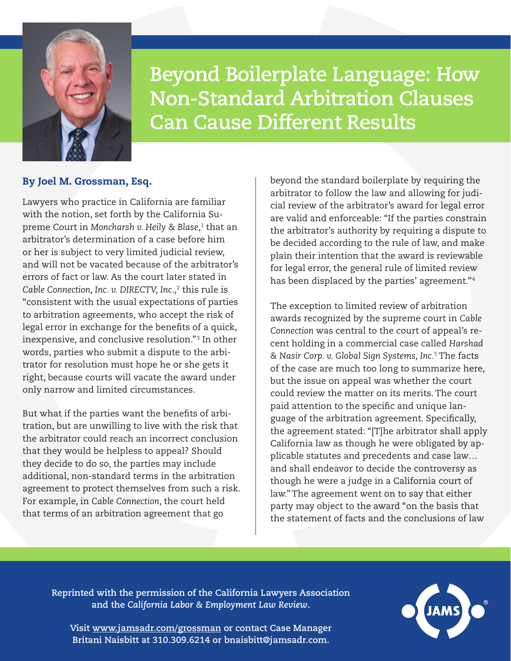

**Beyond Boilerplate Language: How Non-Standard Arbitration Clauses Can Cause Different Results**

## By Joel M. Grossman, Esq.

Lawyers who practice in California are familiar with the notion, set forth by the California Supreme Court in *Moncharsh v. Heily & Blase*, 1 that an arbitrator's determination of a case before him or her is subject to very limited judicial review, and will not be vacated because of the arbitrator's errors of fact or law. As the court later stated in *Cable Connection, Inc. v. DIRECTV, Inc.,*<sup>2</sup> this rule is "consistent with the usual expectations of parties to arbitration agreements, who accept the risk of legal error in exchange for the benefits of a quick, inexpensive, and conclusive resolution."3 In other words, parties who submit a dispute to the arbitrator for resolution must hope he or she gets it right, because courts will vacate the award under only narrow and limited circumstances.

But what if the parties want the benefits of arbitration, but are unwilling to live with the risk that the arbitrator could reach an incorrect conclusion that they would be helpless to appeal? Should they decide to do so, the parties may include additional, non-standard terms in the arbitration agreement to protect themselves from such a risk. For example, in *Cable Connection*, the court held that terms of an arbitration agreement that go

beyond the standard boilerplate by requiring the arbitrator to follow the law and allowing for judicial review of the arbitrator's award for legal error are valid and enforceable: "If the parties constrain the arbitrator's authority by requiring a dispute to be decided according to the rule of law, and make plain their intention that the award is reviewable for legal error, the general rule of limited review has been displaced by the parties' agreement."<sup>4</sup>

The exception to limited review of arbitration awards recognized by the supreme court in *Cable Connection* was central to the court of appeal's recent holding in a commercial case called *Harshad & Nasir Corp. v. Global Sign Systems, Inc.*<sup>5</sup> The facts of the case are much too long to summarize here, but the issue on appeal was whether the court could review the matter on its merits. The court paid attention to the specific and unique language of the arbitration agreement. Specifically, the agreement stated: "[T]he arbitrator shall apply California law as though he were obligated by applicable statutes and precedents and case law… and shall endeavor to decide the controversy as though he were a judge in a California court of law." The agreement went on to say that either party may object to the award "on the basis that the statement of facts and the conclusions of law

**Reprinted with the permission of the California Lawyers Association and the** *California Labor & Employment Law Review***.**



**Visit [www.jamsadr.com/grossman](https://www.jamsadr.com/grossman/) or contact Case Manager Britani Naisbitt at 310.309.6214 or [bnaisbitt@jamsadr.com.](mailto:bnaisbitt%40jamsadr.com?subject=)**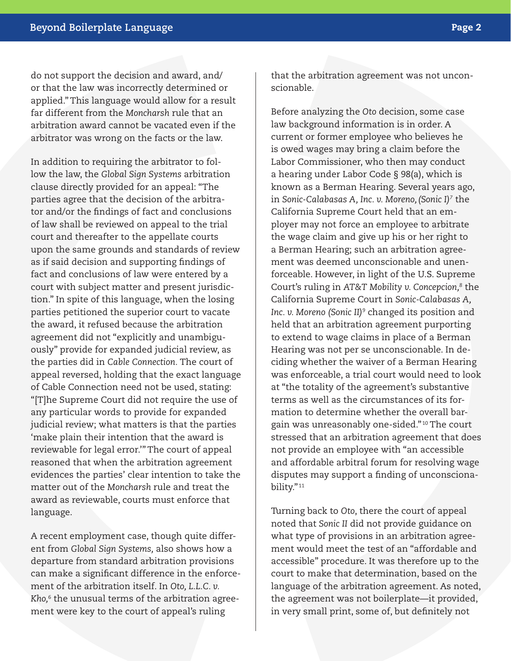do not support the decision and award, and/ or that the law was incorrectly determined or applied." This language would allow for a result far different from the *Moncharsh* rule that an arbitration award cannot be vacated even if the arbitrator was wrong on the facts or the law.

In addition to requiring the arbitrator to follow the law, the *Global Sign Systems* arbitration clause directly provided for an appeal: "The parties agree that the decision of the arbitrator and/or the findings of fact and conclusions of law shall be reviewed on appeal to the trial court and thereafter to the appellate courts upon the same grounds and standards of review as if said decision and supporting findings of fact and conclusions of law were entered by a court with subject matter and present jurisdiction." In spite of this language, when the losing parties petitioned the superior court to vacate the award, it refused because the arbitration agreement did not "explicitly and unambiguously" provide for expanded judicial review, as the parties did in *Cable Connection.* The court of appeal reversed, holding that the exact language of Cable Connection need not be used, stating: "[T]he Supreme Court did not require the use of any particular words to provide for expanded judicial review; what matters is that the parties 'make plain their intention that the award is reviewable for legal error.'" The court of appeal reasoned that when the arbitration agreement evidences the parties' clear intention to take the matter out of the *Moncharsh* rule and treat the award as reviewable, courts must enforce that language.

A recent employment case, though quite different from *Global Sign Systems,* also shows how a departure from standard arbitration provisions can make a significant difference in the enforcement of the arbitration itself. In *Oto, L.L.C. v. Kho,*<sup>6</sup> the unusual terms of the arbitration agreement were key to the court of appeal's ruling

that the arbitration agreement was not unconscionable.

Before analyzing the *Oto* decision, some case law background information is in order. A current or former employee who believes he is owed wages may bring a claim before the Labor Commissioner, who then may conduct a hearing under Labor Code § 98(a), which is known as a Berman Hearing. Several years ago, in *Sonic-Calabasas A, Inc. v. Moreno,(Sonic I)7* the California Supreme Court held that an employer may not force an employee to arbitrate the wage claim and give up his or her right to a Berman Hearing; such an arbitration agreement was deemed unconscionable and unenforceable. However, in light of the U.S. Supreme Court's ruling in *AT&T Mobility v. Concepcion,8* the California Supreme Court in *Sonic-Calabasas A, Inc. v. Moreno (Sonic II)9* changed its position and held that an arbitration agreement purporting to extend to wage claims in place of a Berman Hearing was not per se unconscionable. In deciding whether the waiver of a Berman Hearing was enforceable, a trial court would need to look at "the totality of the agreement's substantive terms as well as the circumstances of its formation to determine whether the overall bargain was unreasonably one-sided."10 The court stressed that an arbitration agreement that does not provide an employee with "an accessible and affordable arbitral forum for resolving wage disputes may support a finding of unconscionability."<sup>11</sup>

Turning back to *Oto*, there the court of appeal noted that *Sonic II* did not provide guidance on what type of provisions in an arbitration agreement would meet the test of an "affordable and accessible" procedure. It was therefore up to the court to make that determination, based on the language of the arbitration agreement. As noted, the agreement was not boilerplate—it provided, in very small print, some of, but definitely not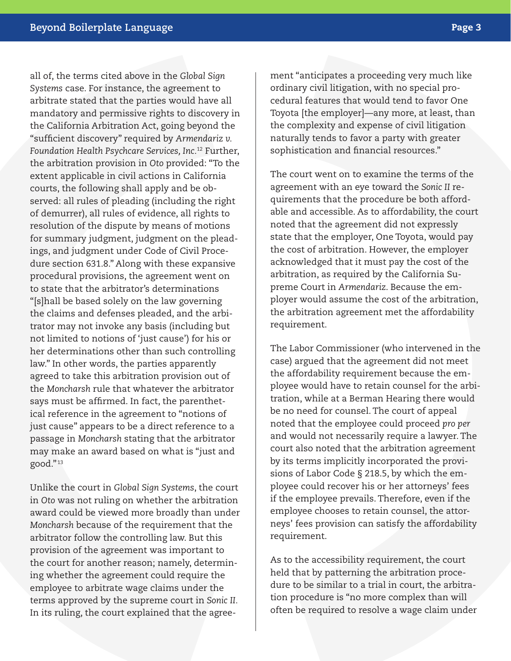all of, the terms cited above in the *Global Sign Systems* case. For instance, the agreement to arbitrate stated that the parties would have all mandatory and permissive rights to discovery in the California Arbitration Act, going beyond the "sufficient discovery" required by *Armendariz v. Foundation Health Psychcare Services, Inc.*12 Further, the arbitration provision in *Oto* provided: "To the extent applicable in civil actions in California courts, the following shall apply and be observed: all rules of pleading (including the right of demurrer), all rules of evidence, all rights to resolution of the dispute by means of motions for summary judgment, judgment on the pleadings, and judgment under Code of Civil Procedure section 631.8." Along with these expansive procedural provisions, the agreement went on to state that the arbitrator's determinations "[s]hall be based solely on the law governing the claims and defenses pleaded, and the arbitrator may not invoke any basis (including but not limited to notions of 'just cause') for his or her determinations other than such controlling law." In other words, the parties apparently agreed to take this arbitration provision out of the *Moncharsh* rule that whatever the arbitrator says must be affirmed. In fact, the parenthetical reference in the agreement to "notions of just cause" appears to be a direct reference to a passage in *Moncharsh* stating that the arbitrator may make an award based on what is "just and good."13

Unlike the court in *Global Sign Systems*, the court in *Oto* was not ruling on whether the arbitration award could be viewed more broadly than under *Moncharsh* because of the requirement that the arbitrator follow the controlling law. But this provision of the agreement was important to the court for another reason; namely, determining whether the agreement could require the employee to arbitrate wage claims under the terms approved by the supreme court in *Sonic II.* In its ruling, the court explained that the agreement "anticipates a proceeding very much like ordinary civil litigation, with no special procedural features that would tend to favor One Toyota [the employer]—any more, at least, than the complexity and expense of civil litigation naturally tends to favor a party with greater sophistication and financial resources."

The court went on to examine the terms of the agreement with an eye toward the *Sonic II* requirements that the procedure be both affordable and accessible. As to affordability, the court noted that the agreement did not expressly state that the employer, One Toyota, would pay the cost of arbitration. However, the employer acknowledged that it must pay the cost of the arbitration, as required by the California Supreme Court in *Armendariz*. Because the employer would assume the cost of the arbitration, the arbitration agreement met the affordability requirement.

The Labor Commissioner (who intervened in the case) argued that the agreement did not meet the affordability requirement because the employee would have to retain counsel for the arbitration, while at a Berman Hearing there would be no need for counsel. The court of appeal noted that the employee could proceed *pro per*  and would not necessarily require a lawyer. The court also noted that the arbitration agreement by its terms implicitly incorporated the provisions of Labor Code § 218.5, by which the employee could recover his or her attorneys' fees if the employee prevails. Therefore, even if the employee chooses to retain counsel, the attorneys' fees provision can satisfy the affordability requirement.

As to the accessibility requirement, the court held that by patterning the arbitration procedure to be similar to a trial in court, the arbitration procedure is "no more complex than will often be required to resolve a wage claim under